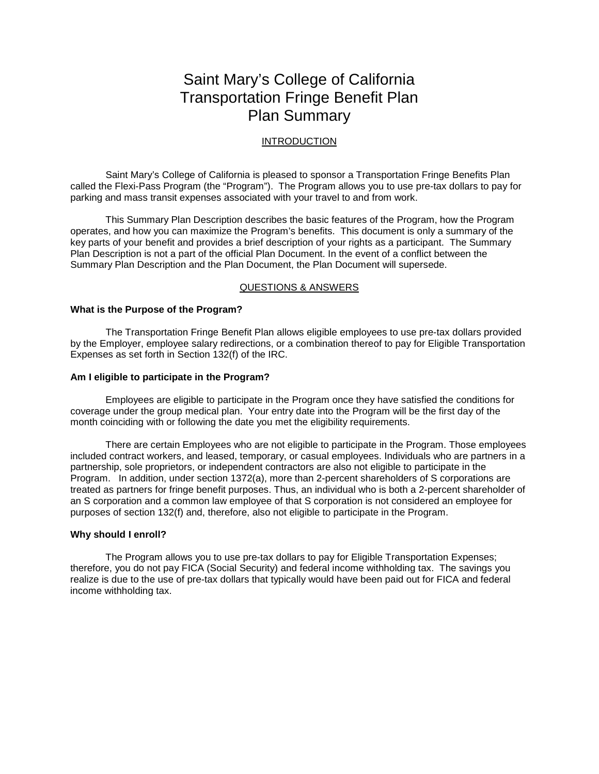# Saint Mary's College of California Transportation Fringe Benefit Plan Plan Summary

# INTRODUCTION

Saint Mary's College of California is pleased to sponsor a Transportation Fringe Benefits Plan called the Flexi-Pass Program (the "Program"). The Program allows you to use pre-tax dollars to pay for parking and mass transit expenses associated with your travel to and from work.

This Summary Plan Description describes the basic features of the Program, how the Program operates, and how you can maximize the Program's benefits. This document is only a summary of the key parts of your benefit and provides a brief description of your rights as a participant. The Summary Plan Description is not a part of the official Plan Document. In the event of a conflict between the Summary Plan Description and the Plan Document, the Plan Document will supersede.

# QUESTIONS & ANSWERS

# **What is the Purpose of the Program?**

The Transportation Fringe Benefit Plan allows eligible employees to use pre-tax dollars provided by the Employer, employee salary redirections, or a combination thereof to pay for Eligible Transportation Expenses as set forth in Section 132(f) of the IRC.

## **Am I eligible to participate in the Program?**

Employees are eligible to participate in the Program once they have satisfied the conditions for coverage under the group medical plan. Your entry date into the Program will be the first day of the month coinciding with or following the date you met the eligibility requirements.

There are certain Employees who are not eligible to participate in the Program. Those employees included contract workers, and leased, temporary, or casual employees. Individuals who are partners in a partnership, sole proprietors, or independent contractors are also not eligible to participate in the Program. In addition, under section 1372(a), more than 2-percent shareholders of S corporations are treated as partners for fringe benefit purposes. Thus, an individual who is both a 2-percent shareholder of an S corporation and a common law employee of that S corporation is not considered an employee for purposes of section 132(f) and, therefore, also not eligible to participate in the Program.

#### **Why should I enroll?**

The Program allows you to use pre-tax dollars to pay for Eligible Transportation Expenses; therefore, you do not pay FICA (Social Security) and federal income withholding tax. The savings you realize is due to the use of pre-tax dollars that typically would have been paid out for FICA and federal income withholding tax.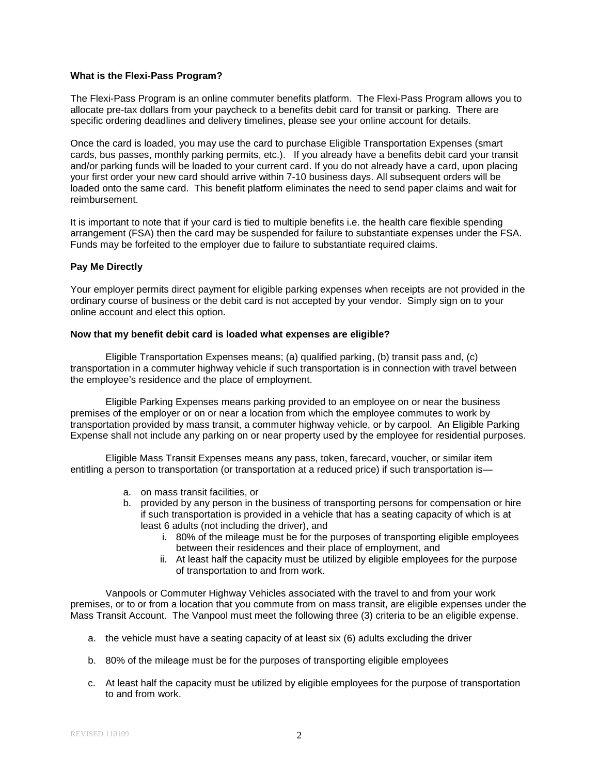# **What is the Flexi-Pass Program?**

The Flexi-Pass Program is an online commuter benefits platform. The Flexi-Pass Program allows you to allocate pre-tax dollars from your paycheck to a benefits debit card for transit or parking. There are specific ordering deadlines and delivery timelines, please see your online account for details.

Once the card is loaded, you may use the card to purchase Eligible Transportation Expenses (smart cards, bus passes, monthly parking permits, etc.). If you already have a benefits debit card your transit and/or parking funds will be loaded to your current card. If you do not already have a card, upon placing your first order your new card should arrive within 7-10 business days. All subsequent orders will be loaded onto the same card. This benefit platform eliminates the need to send paper claims and wait for reimbursement.

It is important to note that if your card is tied to multiple benefits i.e. the health care flexible spending arrangement (FSA) then the card may be suspended for failure to substantiate expenses under the FSA. Funds may be forfeited to the employer due to failure to substantiate required claims.

# **Pay Me Directly**

Your employer permits direct payment for eligible parking expenses when receipts are not provided in the ordinary course of business or the debit card is not accepted by your vendor. Simply sign on to your online account and elect this option.

# **Now that my benefit debit card is loaded what expenses are eligible?**

Eligible Transportation Expenses means; (a) qualified parking, (b) transit pass and, (c) transportation in a commuter highway vehicle if such transportation is in connection with travel between the employee's residence and the place of employment.

Eligible Parking Expenses means parking provided to an employee on or near the business premises of the employer or on or near a location from which the employee commutes to work by transportation provided by mass transit, a commuter highway vehicle, or by carpool. An Eligible Parking Expense shall not include any parking on or near property used by the employee for residential purposes.

Eligible Mass Transit Expenses means any pass, token, farecard, voucher, or similar item entitling a person to transportation (or transportation at a reduced price) if such transportation is—

- a. on mass transit facilities, or
- b. provided by any person in the business of transporting persons for compensation or hire if such transportation is provided in a vehicle that has a seating capacity of which is at least 6 adults (not including the driver), and
	- i. 80% of the mileage must be for the purposes of transporting eligible employees between their residences and their place of employment, and
	- ii. At least half the capacity must be utilized by eligible employees for the purpose of transportation to and from work.

Vanpools or Commuter Highway Vehicles associated with the travel to and from your work premises, or to or from a location that you commute from on mass transit, are eligible expenses under the Mass Transit Account. The Vanpool must meet the following three (3) criteria to be an eligible expense.

- a. the vehicle must have a seating capacity of at least six (6) adults excluding the driver
- b. 80% of the mileage must be for the purposes of transporting eligible employees
- c. At least half the capacity must be utilized by eligible employees for the purpose of transportation to and from work.